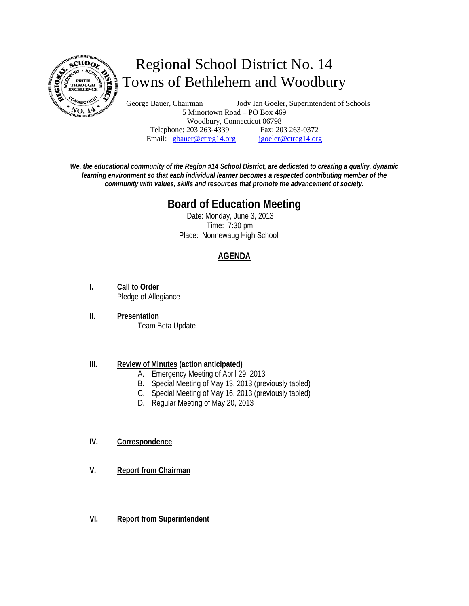

# Regional School District No. 14 Towns of Bethlehem and Woodbury

George Bauer, Chairman Jody Ian Goeler, Superintendent of Schools 5 Minortown Road – PO Box 469 Woodbury, Connecticut 06798 Telephone: 203 263-4339 Fax: 203 263-0372 Email: gbauer@ctreg14.org jgoeler@ctreg14.org

*We, the educational community of the Region #14 School District, are dedicated to creating a quality, dynamic learning environment so that each individual learner becomes a respected contributing member of the community with values, skills and resources that promote the advancement of society.* 

## **Board of Education Meeting**

 Date: Monday, June 3, 2013 Time: 7:30 pm Place: Nonnewaug High School

### **AGENDA**

- **I. Call to Order** Pledge of Allegiance
- **II. Presentation** Team Beta Update

#### **III. Review of Minutes (action anticipated)**

- A. Emergency Meeting of April 29, 2013
- B. Special Meeting of May 13, 2013 (previously tabled)
- C. Special Meeting of May 16, 2013 (previously tabled)
- D. Regular Meeting of May 20, 2013

#### **IV. Correspondence**

- **V. Report from Chairman**
- **VI. Report from Superintendent**